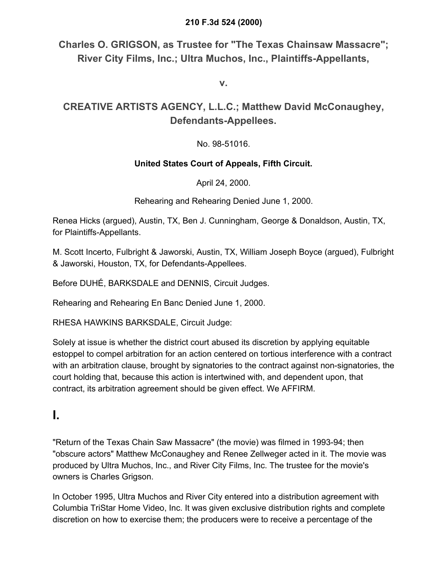### **210 F.3d 524 (2000)**

**Charles O. GRIGSON, as Trustee for "The Texas Chainsaw Massacre"; River City Films, Inc.; Ultra Muchos, Inc., Plaintiffs-Appellants,**

**v.**

# **CREATIVE ARTISTS AGENCY, L.L.C.; Matthew David McConaughey, Defendants-Appellees.**

## No. 98-51016.

## **United States Court of Appeals, Fifth Circuit.**

April 24, 2000.

Rehearing and Rehearing Denied June 1, 2000.

Renea Hicks (argued), Austin, TX, Ben J. Cunningham, George & Donaldson, Austin, TX, for Plaintiffs-Appellants.

M. Scott Incerto, Fulbright & Jaworski, Austin, TX, William Joseph Boyce (argued), Fulbright & Jaworski, Houston, TX, for Defendants-Appellees.

Before DUHÉ, BARKSDALE and DENNIS, Circuit Judges.

Rehearing and Rehearing En Banc Denied June 1, 2000.

RHESA HAWKINS BARKSDALE, Circuit Judge:

Solely at issue is whether the district court abused its discretion by applying equitable estoppel to compel arbitration for an action centered on tortious interference with a contract with an arbitration clause, brought by signatories to the contract against non-signatories, the court holding that, because this action is intertwined with, and dependent upon, that contract, its arbitration agreement should be given effect. We AFFIRM.

# **I.**

"Return of the Texas Chain Saw Massacre" (the movie) was filmed in 1993-94; then "obscure actors" Matthew McConaughey and Renee Zellweger acted in it. The movie was produced by Ultra Muchos, Inc., and River City Films, Inc. The trustee for the movie's owners is Charles Grigson.

In October 1995, Ultra Muchos and River City entered into a distribution agreement with Columbia TriStar Home Video, Inc. It was given exclusive distribution rights and complete discretion on how to exercise them; the producers were to receive a percentage of the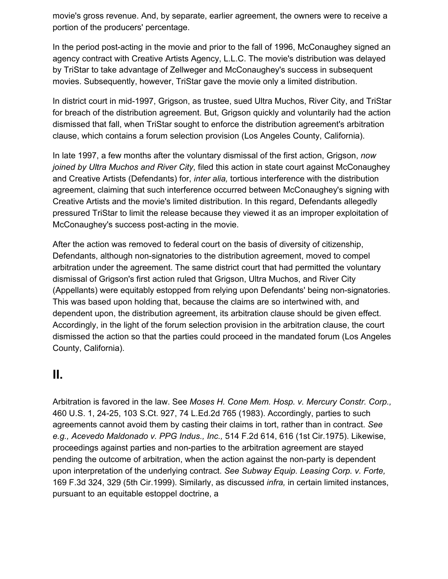movie's gross revenue. And, by separate, earlier agreement, the owners were to receive a portion of the producers' percentage.

In the period post-acting in the movie and prior to the fall of 1996, McConaughey signed an agency contract with Creative Artists Agency, L.L.C. The movie's distribution was delayed by TriStar to take advantage of Zellweger and McConaughey's success in subsequent movies. Subsequently, however, TriStar gave the movie only a limited distribution.

In district court in mid-1997, Grigson, as trustee, sued Ultra Muchos, River City, and TriStar for breach of the distribution agreement. But, Grigson quickly and voluntarily had the action dismissed that fall, when TriStar sought to enforce the distribution agreement's arbitration clause, which contains a forum selection provision (Los Angeles County, California).

In late 1997, a few months after the voluntary dismissal of the first action, Grigson, *now joined by Ultra Muchos and River City,* filed this action in state court against McConaughey and Creative Artists (Defendants) for, *inter alia,* tortious interference with the distribution agreement, claiming that such interference occurred between McConaughey's signing with Creative Artists and the movie's limited distribution. In this regard, Defendants allegedly pressured TriStar to limit the release because they viewed it as an improper exploitation of McConaughey's success post-acting in the movie.

After the action was removed to federal court on the basis of diversity of citizenship, Defendants, although non-signatories to the distribution agreement, moved to compel arbitration under the agreement. The same district court that had permitted the voluntary dismissal of Grigson's first action ruled that Grigson, Ultra Muchos, and River City (Appellants) were equitably estopped from relying upon Defendants' being non-signatories. This was based upon holding that, because the claims are so intertwined with, and dependent upon, the distribution agreement, its arbitration clause should be given effect. Accordingly, in the light of the forum selection provision in the arbitration clause, the court dismissed the action so that the parties could proceed in the mandated forum (Los Angeles County, California).

# **II.**

Arbitration is favored in the law. See *Moses H. Cone Mem. Hosp. v. Mercury Constr. Corp.,* 460 U.S. 1, 24-25, 103 S.Ct. 927, 74 L.Ed.2d 765 (1983). Accordingly, parties to such agreements cannot avoid them by casting their claims in tort, rather than in contract. *See e.g., Acevedo Maldonado v. PPG Indus., Inc.,* 514 F.2d 614, 616 (1st Cir.1975). Likewise, proceedings against parties and non-parties to the arbitration agreement are stayed pending the outcome of arbitration, when the action against the non-party is dependent upon interpretation of the underlying contract. *See Subway Equip. Leasing Corp. v. Forte,* 169 F.3d 324, 329 (5th Cir.1999). Similarly, as discussed *infra,* in certain limited instances, pursuant to an equitable estoppel doctrine, a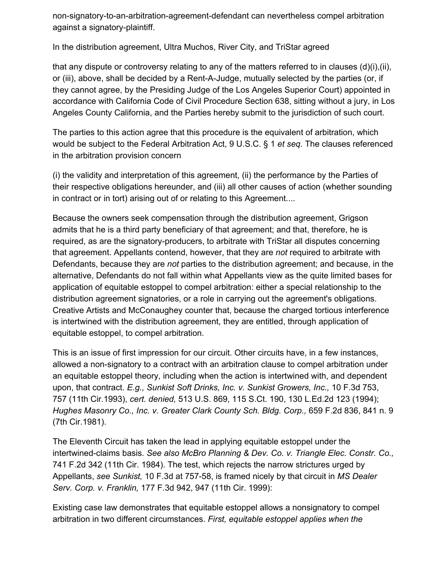non-signatory-to-an-arbitration-agreement-defendant can nevertheless compel arbitration against a signatory-plaintiff.

In the distribution agreement, Ultra Muchos, River City, and TriStar agreed

that any dispute or controversy relating to any of the matters referred to in clauses  $(d)(i), (ii),$ or (iii), above, shall be decided by a Rent-A-Judge, mutually selected by the parties (or, if they cannot agree, by the Presiding Judge of the Los Angeles Superior Court) appointed in accordance with California Code of Civil Procedure Section 638, sitting without a jury, in Los Angeles County California, and the Parties hereby submit to the jurisdiction of such court.

The parties to this action agree that this procedure is the equivalent of arbitration, which would be subject to the Federal Arbitration Act, 9 U.S.C. § 1 *et seq.* The clauses referenced in the arbitration provision concern

(i) the validity and interpretation of this agreement, (ii) the performance by the Parties of their respective obligations hereunder, and (iii) all other causes of action (whether sounding in contract or in tort) arising out of or relating to this Agreement....

Because the owners seek compensation through the distribution agreement, Grigson admits that he is a third party beneficiary of that agreement; and that, therefore, he is required, as are the signatory-producers, to arbitrate with TriStar all disputes concerning that agreement. Appellants contend, however, that they are *not* required to arbitrate with Defendants, because they are *not* parties to the distribution agreement; and because, in the alternative, Defendants do not fall within what Appellants view as the quite limited bases for application of equitable estoppel to compel arbitration: either a special relationship to the distribution agreement signatories, or a role in carrying out the agreement's obligations. Creative Artists and McConaughey counter that, because the charged tortious interference is intertwined with the distribution agreement, they are entitled, through application of equitable estoppel, to compel arbitration.

This is an issue of first impression for our circuit. Other circuits have, in a few instances, allowed a non-signatory to a contract with an arbitration clause to compel arbitration under an equitable estoppel theory, including when the action is intertwined with, and dependent upon, that contract. *E.g., Sunkist Soft Drinks, Inc. v. Sunkist Growers, Inc.,* 10 F.3d 753, 757 (11th Cir.1993), *cert. denied,* 513 U.S. 869, 115 S.Ct. 190, 130 L.Ed.2d 123 (1994); *Hughes Masonry Co., Inc. v. Greater Clark County Sch. Bldg. Corp.,* 659 F.2d 836, 841 n. 9 (7th Cir.1981).

The Eleventh Circuit has taken the lead in applying equitable estoppel under the intertwined-claims basis. *See also McBro Planning & Dev. Co. v. Triangle Elec. Constr. Co.,* 741 F.2d 342 (11th Cir. 1984). The test, which rejects the narrow strictures urged by Appellants, *see Sunkist,* 10 F.3d at 757-58, is framed nicely by that circuit in *MS Dealer Serv. Corp. v. Franklin,* 177 F.3d 942, 947 (11th Cir. 1999):

Existing case law demonstrates that equitable estoppel allows a nonsignatory to compel arbitration in two different circumstances. *First, equitable estoppel applies when the*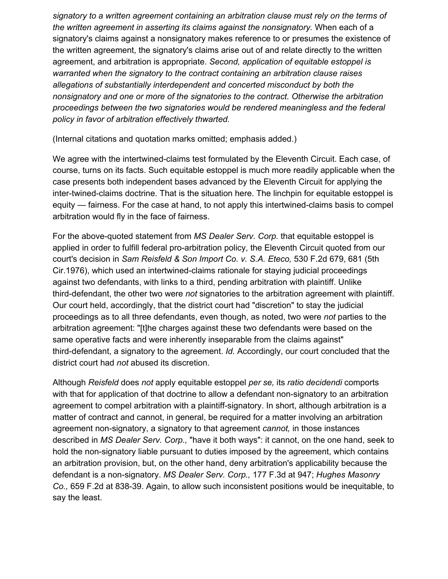*signatory to a written agreement containing an arbitration clause must rely on the terms of the written agreement in asserting its claims against the nonsignatory.* When each of a signatory's claims against a nonsignatory makes reference to or presumes the existence of the written agreement, the signatory's claims arise out of and relate directly to the written agreement, and arbitration is appropriate. *Second, application of equitable estoppel is warranted when the signatory to the contract containing an arbitration clause raises allegations of substantially interdependent and concerted misconduct by both the nonsignatory and one or more of the signatories to the contract. Otherwise the arbitration proceedings between the two signatories would be rendered meaningless and the federal policy in favor of arbitration effectively thwarted.*

(Internal citations and quotation marks omitted; emphasis added.)

We agree with the intertwined-claims test formulated by the Eleventh Circuit. Each case, of course, turns on its facts. Such equitable estoppel is much more readily applicable when the case presents both independent bases advanced by the Eleventh Circuit for applying the inter-twined-claims doctrine. That is the situation here. The linchpin for equitable estoppel is equity — fairness. For the case at hand, to not apply this intertwined-claims basis to compel arbitration would fly in the face of fairness.

For the above-quoted statement from *MS Dealer Serv. Corp.* that equitable estoppel is applied in order to fulfill federal pro-arbitration policy, the Eleventh Circuit quoted from our court's decision in *Sam Reisfeld & Son Import Co. v. S.A. Eteco,* 530 F.2d 679, 681 (5th Cir.1976), which used an intertwined-claims rationale for staying judicial proceedings against two defendants, with links to a third, pending arbitration with plaintiff. Unlike third-defendant, the other two were *not* signatories to the arbitration agreement with plaintiff. Our court held, accordingly, that the district court had "discretion" to stay the judicial proceedings as to all three defendants, even though, as noted, two were *not* parties to the arbitration agreement: "[t]he charges against these two defendants were based on the same operative facts and were inherently inseparable from the claims against" third-defendant, a signatory to the agreement. *Id.* Accordingly, our court concluded that the district court had *not* abused its discretion.

Although *Reisfeld* does *not* apply equitable estoppel *per se,* its *ratio decidendi* comports with that for application of that doctrine to allow a defendant non-signatory to an arbitration agreement to compel arbitration with a plaintiff-signatory. In short, although arbitration is a matter of contract and cannot, in general, be required for a matter involving an arbitration agreement non-signatory, a signatory to that agreement *cannot,* in those instances described in *MS Dealer Serv. Corp.,* "have it both ways": it cannot, on the one hand, seek to hold the non-signatory liable pursuant to duties imposed by the agreement, which contains an arbitration provision, but, on the other hand, deny arbitration's applicability because the defendant is a non-signatory. *MS Dealer Serv. Corp.,* 177 F.3d at 947; *Hughes Masonry Co.,* 659 F.2d at 838-39. Again, to allow such inconsistent positions would be inequitable, to say the least.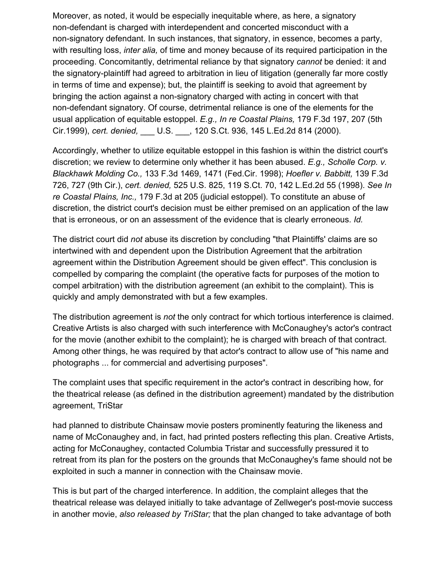Moreover, as noted, it would be especially inequitable where, as here, a signatory non-defendant is charged with interdependent and concerted misconduct with a non-signatory defendant. In such instances, that signatory, in essence, becomes a party, with resulting loss, *inter alia,* of time and money because of its required participation in the proceeding. Concomitantly, detrimental reliance by that signatory *cannot* be denied: it and the signatory-plaintiff had agreed to arbitration in lieu of litigation (generally far more costly in terms of time and expense); but, the plaintiff is seeking to avoid that agreement by bringing the action against a non-signatory charged with acting in concert with that non-defendant signatory. Of course, detrimental reliance is one of the elements for the usual application of equitable estoppel. *E.g., In re Coastal Plains,* 179 F.3d 197, 207 (5th Cir.1999), *cert. denied,* \_\_\_ U.S. \_\_\_, 120 S.Ct. 936, 145 L.Ed.2d 814 (2000).

Accordingly, whether to utilize equitable estoppel in this fashion is within the district court's discretion; we review to determine only whether it has been abused. *E.g., Scholle Corp. v. Blackhawk Molding Co.,* 133 F.3d 1469, 1471 (Fed.Cir. 1998); *Hoefler v. Babbitt,* 139 F.3d 726, 727 (9th Cir.), *cert. denied,* 525 U.S. 825, 119 S.Ct. 70, 142 L.Ed.2d 55 (1998). *See In re Coastal Plains, Inc.,* 179 F.3d at 205 (judicial estoppel). To constitute an abuse of discretion, the district court's decision must be either premised on an application of the law that is erroneous, or on an assessment of the evidence that is clearly erroneous. *Id.*

The district court did *not* abuse its discretion by concluding "that Plaintiffs' claims are so intertwined with and dependent upon the Distribution Agreement that the arbitration agreement within the Distribution Agreement should be given effect". This conclusion is compelled by comparing the complaint (the operative facts for purposes of the motion to compel arbitration) with the distribution agreement (an exhibit to the complaint). This is quickly and amply demonstrated with but a few examples.

The distribution agreement is *not* the only contract for which tortious interference is claimed. Creative Artists is also charged with such interference with McConaughey's actor's contract for the movie (another exhibit to the complaint); he is charged with breach of that contract. Among other things, he was required by that actor's contract to allow use of "his name and photographs ... for commercial and advertising purposes".

The complaint uses that specific requirement in the actor's contract in describing how, for the theatrical release (as defined in the distribution agreement) mandated by the distribution agreement, TriStar

had planned to distribute Chainsaw movie posters prominently featuring the likeness and name of McConaughey and, in fact, had printed posters reflecting this plan. Creative Artists, acting for McConaughey, contacted Columbia Tristar and successfully pressured it to retreat from its plan for the posters on the grounds that McConaughey's fame should not be exploited in such a manner in connection with the Chainsaw movie.

This is but part of the charged interference. In addition, the complaint alleges that the theatrical release was delayed initially to take advantage of Zellweger's post-movie success in another movie, *also released by TriStar;* that the plan changed to take advantage of both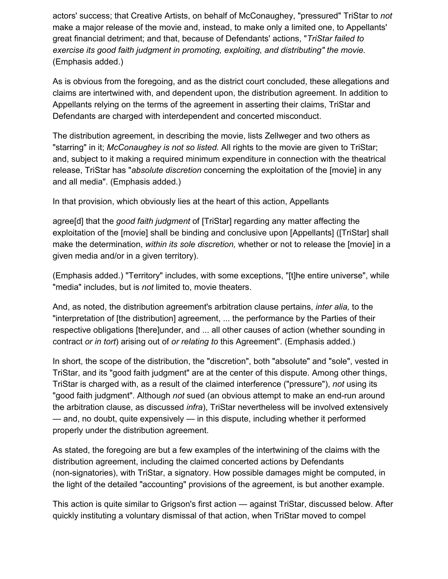actors' success; that Creative Artists, on behalf of McConaughey, "pressured" TriStar to *not* make a major release of the movie and, instead, to make only a limited one, to Appellants' great financial detriment; and that, because of Defendants' actions, "*TriStar failed to exercise its good faith judgment in promoting, exploiting, and distributing" the movie.* (Emphasis added.)

As is obvious from the foregoing, and as the district court concluded, these allegations and claims are intertwined with, and dependent upon, the distribution agreement. In addition to Appellants relying on the terms of the agreement in asserting their claims, TriStar and Defendants are charged with interdependent and concerted misconduct.

The distribution agreement, in describing the movie, lists Zellweger and two others as "starring" in it; *McConaughey is not so listed.* All rights to the movie are given to TriStar; and, subject to it making a required minimum expenditure in connection with the theatrical release, TriStar has "*absolute discretion* concerning the exploitation of the [movie] in any and all media". (Emphasis added.)

In that provision, which obviously lies at the heart of this action, Appellants

agree[d] that the *good faith judgment* of [TriStar] regarding any matter affecting the exploitation of the [movie] shall be binding and conclusive upon [Appellants] ([TriStar] shall make the determination, *within its sole discretion,* whether or not to release the [movie] in a given media and/or in a given territory).

(Emphasis added.) "Territory" includes, with some exceptions, "[t]he entire universe", while "media" includes, but is *not* limited to, movie theaters.

And, as noted, the distribution agreement's arbitration clause pertains, *inter alia,* to the "interpretation of [the distribution] agreement, ... the performance by the Parties of their respective obligations [there]under, and ... all other causes of action (whether sounding in contract *or in tort*) arising out of *or relating to* this Agreement". (Emphasis added.)

In short, the scope of the distribution, the "discretion", both "absolute" and "sole", vested in TriStar, and its "good faith judgment" are at the center of this dispute. Among other things, TriStar is charged with, as a result of the claimed interference ("pressure"), *not* using its "good faith judgment". Although *not* sued (an obvious attempt to make an end-run around the arbitration clause, as discussed *infra*), TriStar nevertheless will be involved extensively — and, no doubt, quite expensively — in this dispute, including whether it performed properly under the distribution agreement.

As stated, the foregoing are but a few examples of the intertwining of the claims with the distribution agreement, including the claimed concerted actions by Defendants (non-signatories), with TriStar, a signatory. How possible damages might be computed, in the light of the detailed "accounting" provisions of the agreement, is but another example.

This action is quite similar to Grigson's first action — against TriStar, discussed below. After quickly instituting a voluntary dismissal of that action, when TriStar moved to compel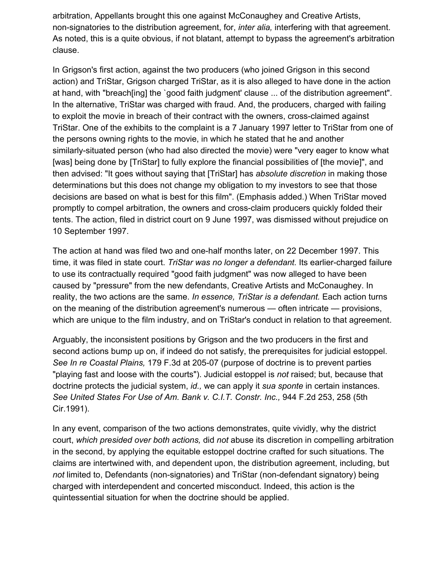arbitration, Appellants brought this one against McConaughey and Creative Artists, non-signatories to the distribution agreement, for, *inter alia,* interfering with that agreement. As noted, this is a quite obvious, if not blatant, attempt to bypass the agreement's arbitration clause.

In Grigson's first action, against the two producers (who joined Grigson in this second action) and TriStar, Grigson charged TriStar, as it is also alleged to have done in the action at hand, with "breach[ing] the `good faith judgment' clause ... of the distribution agreement". In the alternative, TriStar was charged with fraud. And, the producers, charged with failing to exploit the movie in breach of their contract with the owners, cross-claimed against TriStar. One of the exhibits to the complaint is a 7 January 1997 letter to TriStar from one of the persons owning rights to the movie, in which he stated that he and another similarly-situated person (who had also directed the movie) were "very eager to know what [was] being done by [TriStar] to fully explore the financial possibilities of [the movie]", and then advised: "It goes without saying that [TriStar] has *absolute discretion* in making those determinations but this does not change my obligation to my investors to see that those decisions are based on what is best for this film". (Emphasis added.) When TriStar moved promptly to compel arbitration, the owners and cross-claim producers quickly folded their tents. The action, filed in district court on 9 June 1997, was dismissed without prejudice on 10 September 1997.

The action at hand was filed two and one-half months later, on 22 December 1997. This time, it was filed in state court. *TriStar was no longer a defendant.* Its earlier-charged failure to use its contractually required "good faith judgment" was now alleged to have been caused by "pressure" from the new defendants, Creative Artists and McConaughey. In reality, the two actions are the same. *In essence, TriStar is a defendant.* Each action turns on the meaning of the distribution agreement's numerous — often intricate — provisions, which are unique to the film industry, and on TriStar's conduct in relation to that agreement.

Arguably, the inconsistent positions by Grigson and the two producers in the first and second actions bump up on, if indeed do not satisfy, the prerequisites for judicial estoppel. *See In re Coastal Plains,* 179 F.3d at 205-07 (purpose of doctrine is to prevent parties "playing fast and loose with the courts"). Judicial estoppel is *not* raised; but, because that doctrine protects the judicial system, *id.,* we can apply it *sua sponte* in certain instances. *See United States For Use of Am. Bank v. C.I.T. Constr. Inc.,* 944 F.2d 253, 258 (5th Cir.1991).

In any event, comparison of the two actions demonstrates, quite vividly, why the district court, *which presided over both actions,* did *not* abuse its discretion in compelling arbitration in the second, by applying the equitable estoppel doctrine crafted for such situations. The claims are intertwined with, and dependent upon, the distribution agreement, including, but *not* limited to, Defendants (non-signatories) and TriStar (non-defendant signatory) being charged with interdependent and concerted misconduct. Indeed, this action is the quintessential situation for when the doctrine should be applied.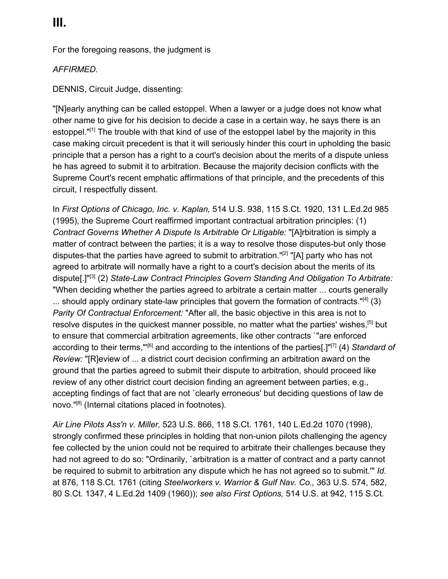For the foregoing reasons, the judgment is

### *AFFIRMED.*

DENNIS, Circuit Judge, dissenting:

"[N]early anything can be called estoppel. When a lawyer or a judge does not know what other name to give for his decision to decide a case in a certain way, he says there is an estoppel."<sup>[1]</sup> The trouble with that kind of use of the estoppel label by the majority in this case making circuit precedent is that it will seriously hinder this court in upholding the basic principle that a person has a right to a court's decision about the merits of a dispute unless he has agreed to submit it to arbitration. Because the majority decision conflicts with the Supreme Court's recent emphatic affirmations of that principle, and the precedents of this circuit, I respectfully dissent.

In *First Options of Chicago, Inc. v. Kaplan,* 514 U.S. 938, 115 S.Ct. 1920, 131 L.Ed.2d 985 (1995), the Supreme Court reaffirmed important contractual arbitration principles: (1) *Contract Governs Whether A Dispute Is Arbitrable Or Litigable:* "[A]rbitration is simply a matter of contract between the parties; it is a way to resolve those disputes-but only those disputes-that the parties have agreed to submit to arbitration."[2] "[A] party who has not agreed to arbitrate will normally have a right to a court's decision about the merits of its dispute[.]"[3] (2) *State-Law Contract Principles Govern Standing And Obligation To Arbitrate:* "When deciding whether the parties agreed to arbitrate a certain matter ... courts generally  $\ldots$  should apply ordinary state-law principles that govern the formation of contracts."[4] (3) *Parity Of Contractual Enforcement:* "After all, the basic objective in this area is not to resolve disputes in the quickest manner possible, no matter what the parties' wishes, <sup>[5]</sup> but to ensure that commercial arbitration agreements, like other contracts `"are enforced according to their terms,"'[6] and according to the intentions of the parties[.]"[7] (4) *Standard of Review:* "[R]eview of ... a district court decision confirming an arbitration award on the ground that the parties agreed to submit their dispute to arbitration, should proceed like review of any other district court decision finding an agreement between parties, e.g., accepting findings of fact that are not `clearly erroneous' but deciding questions of law de novo."[8] (Internal citations placed in footnotes).

*Air Line Pilots Ass'n v. Miller,* 523 U.S. 866, 118 S.Ct. 1761, 140 L.Ed.2d 1070 (1998), strongly confirmed these principles in holding that non-union pilots challenging the agency fee collected by the union could not be required to arbitrate their challenges because they had not agreed to do so: "Ordinarily, `arbitration is a matter of contract and a party cannot be required to submit to arbitration any dispute which he has not agreed so to submit.'" *Id.* at 876, 118 S.Ct. 1761 (citing *Steelworkers v. Warrior & Gulf Nav. Co.,* 363 U.S. 574, 582, 80 S.Ct. 1347, 4 L.Ed.2d 1409 (1960)); *see also First Options,* 514 U.S. at 942, 115 S.Ct.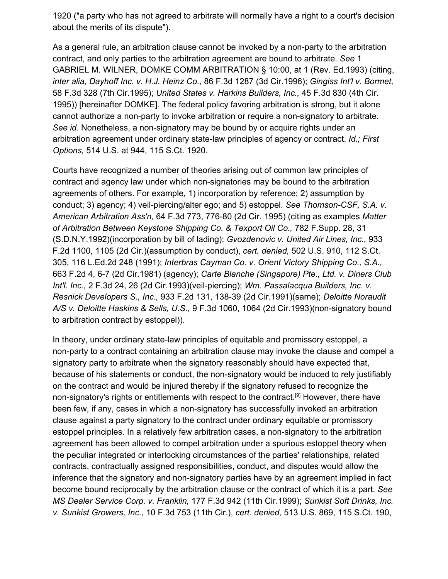1920 ("a party who has not agreed to arbitrate will normally have a right to a court's decision about the merits of its dispute").

As a general rule, an arbitration clause cannot be invoked by a non-party to the arbitration contract, and only parties to the arbitration agreement are bound to arbitrate. *See* 1 GABRIEL M. WILNER, DOMKE COMM ARBITRATION § 10:00, at 1 (Rev. Ed.1993) (citing, *inter alia, Dayhoff Inc. v. H.J. Heinz Co.,* 86 F.3d 1287 (3d Cir.1996); *Gingiss Int'l v. Bormet,* 58 F.3d 328 (7th Cir.1995); *United States v. Harkins Builders, Inc.,* 45 F.3d 830 (4th Cir. 1995)) [hereinafter DOMKE]. The federal policy favoring arbitration is strong, but it alone cannot authorize a non-party to invoke arbitration or require a non-signatory to arbitrate. *See id.* Nonetheless, a non-signatory may be bound by or acquire rights under an arbitration agreement under ordinary state-law principles of agency or contract. *Id.; First Options,* 514 U.S. at 944, 115 S.Ct. 1920.

Courts have recognized a number of theories arising out of common law principles of contract and agency law under which non-signatories may be bound to the arbitration agreements of others. For example, 1) incorporation by reference; 2) assumption by conduct; 3) agency; 4) veil-piercing/alter ego; and 5) estoppel. *See Thomson-CSF, S.A. v. American Arbitration Ass'n,* 64 F.3d 773, 776-80 (2d Cir. 1995) (citing as examples *Matter of Arbitration Between Keystone Shipping Co. & Texport Oil Co.,* 782 F.Supp. 28, 31 (S.D.N.Y.1992)(incorporation by bill of lading); *Gvozdenovic v. United Air Lines, Inc.,* 933 F.2d 1100, 1105 (2d Cir.)(assumption by conduct), *cert. denied,* 502 U.S. 910, 112 S.Ct. 305, 116 L.Ed.2d 248 (1991); *Interbras Cayman Co. v. Orient Victory Shipping Co., S.A.,* 663 F.2d 4, 6-7 (2d Cir.1981) (agency); *Carte Blanche (Singapore) Pte., Ltd. v. Diners Club Int'l. Inc.,* 2 F.3d 24, 26 (2d Cir.1993)(veil-piercing); *Wm. Passalacqua Builders, Inc. v. Resnick Developers S., Inc.,* 933 F.2d 131, 138-39 (2d Cir.1991)(same); *Deloitte Noraudit A/S v. Deloitte Haskins & Sells, U.S.,* 9 F.3d 1060, 1064 (2d Cir.1993)(non-signatory bound to arbitration contract by estoppel)).

In theory, under ordinary state-law principles of equitable and promissory estoppel, a non-party to a contract containing an arbitration clause may invoke the clause and compel a signatory party to arbitrate when the signatory reasonably should have expected that, because of his statements or conduct, the non-signatory would be induced to rely justifiably on the contract and would be injured thereby if the signatory refused to recognize the non-signatory's rights or entitlements with respect to the contract.<sup>[9]</sup> However, there have been few, if any, cases in which a non-signatory has successfully invoked an arbitration clause against a party signatory to the contract under ordinary equitable or promissory estoppel principles. In a relatively few arbitration cases, a non-signatory to the arbitration agreement has been allowed to compel arbitration under a spurious estoppel theory when the peculiar integrated or interlocking circumstances of the parties' relationships, related contracts, contractually assigned responsibilities, conduct, and disputes would allow the inference that the signatory and non-signatory parties have by an agreement implied in fact become bound reciprocally by the arbitration clause or the contract of which it is a part. *See MS Dealer Service Corp. v. Franklin,* 177 F.3d 942 (11th Cir.1999); *Sunkist Soft Drinks, Inc. v. Sunkist Growers, Inc.,* 10 F.3d 753 (11th Cir.), *cert. denied,* 513 U.S. 869, 115 S.Ct. 190,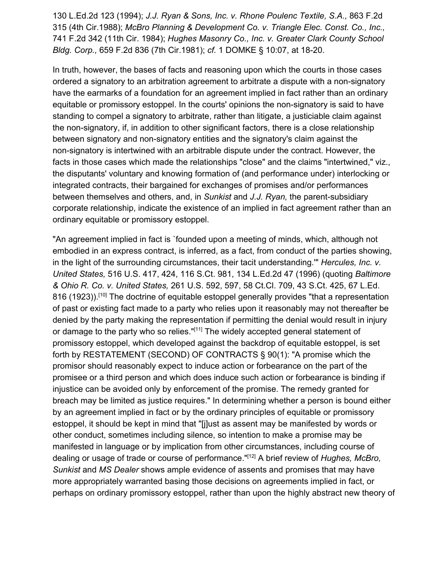130 L.Ed.2d 123 (1994); *J.J. Ryan & Sons, Inc. v. Rhone Poulenc Textile, S.A.,* 863 F.2d 315 (4th Cir.1988); *McBro Planning & Development Co. v. Triangle Elec. Const. Co., Inc.,* 741 F.2d 342 (11th Cir. 1984); *Hughes Masonry Co., Inc. v. Greater Clark County School Bldg. Corp.,* 659 F.2d 836 (7th Cir.1981); *cf.* 1 DOMKE § 10:07, at 18-20.

In truth, however, the bases of facts and reasoning upon which the courts in those cases ordered a signatory to an arbitration agreement to arbitrate a dispute with a non-signatory have the earmarks of a foundation for an agreement implied in fact rather than an ordinary equitable or promissory estoppel. In the courts' opinions the non-signatory is said to have standing to compel a signatory to arbitrate, rather than litigate, a justiciable claim against the non-signatory, if, in addition to other significant factors, there is a close relationship between signatory and non-signatory entities and the signatory's claim against the non-signatory is intertwined with an arbitrable dispute under the contract. However, the facts in those cases which made the relationships "close" and the claims "intertwined," viz., the disputants' voluntary and knowing formation of (and performance under) interlocking or integrated contracts, their bargained for exchanges of promises and/or performances between themselves and others, and, in *Sunkist* and *J.J. Ryan,* the parent-subsidiary corporate relationship, indicate the existence of an implied in fact agreement rather than an ordinary equitable or promissory estoppel.

"An agreement implied in fact is `founded upon a meeting of minds, which, although not embodied in an express contract, is inferred, as a fact, from conduct of the parties showing, in the light of the surrounding circumstances, their tacit understanding.'" *Hercules, Inc. v. United States,* 516 U.S. 417, 424, 116 S.Ct. 981, 134 L.Ed.2d 47 (1996) (quoting *Baltimore & Ohio R. Co. v. United States,* 261 U.S. 592, 597, 58 Ct.Cl. 709, 43 S.Ct. 425, 67 L.Ed. 816 (1923)).<sup>[10]</sup> The doctrine of equitable estoppel generally provides "that a representation of past or existing fact made to a party who relies upon it reasonably may not thereafter be denied by the party making the representation if permitting the denial would result in injury or damage to the party who so relies."[11] The widely accepted general statement of promissory estoppel, which developed against the backdrop of equitable estoppel, is set forth by RESTATEMENT (SECOND) OF CONTRACTS § 90(1): "A promise which the promisor should reasonably expect to induce action or forbearance on the part of the promisee or a third person and which does induce such action or forbearance is binding if injustice can be avoided only by enforcement of the promise. The remedy granted for breach may be limited as justice requires." In determining whether a person is bound either by an agreement implied in fact or by the ordinary principles of equitable or promissory estoppel, it should be kept in mind that "[j]ust as assent may be manifested by words or other conduct, sometimes including silence, so intention to make a promise may be manifested in language or by implication from other circumstances, including course of dealing or usage of trade or course of performance."[12] A brief review of *Hughes, McBro, Sunkist* and *MS Dealer* shows ample evidence of assents and promises that may have more appropriately warranted basing those decisions on agreements implied in fact, or perhaps on ordinary promissory estoppel, rather than upon the highly abstract new theory of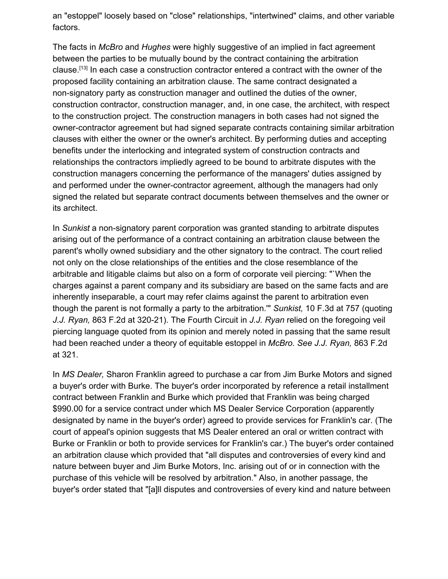an "estoppel" loosely based on "close" relationships, "intertwined" claims, and other variable factors.

The facts in *McBro* and *Hughes* were highly suggestive of an implied in fact agreement between the parties to be mutually bound by the contract containing the arbitration clause.[13] In each case a construction contractor entered a contract with the owner of the proposed facility containing an arbitration clause. The same contract designated a non-signatory party as construction manager and outlined the duties of the owner, construction contractor, construction manager, and, in one case, the architect, with respect to the construction project. The construction managers in both cases had not signed the owner-contractor agreement but had signed separate contracts containing similar arbitration clauses with either the owner or the owner's architect. By performing duties and accepting benefits under the interlocking and integrated system of construction contracts and relationships the contractors impliedly agreed to be bound to arbitrate disputes with the construction managers concerning the performance of the managers' duties assigned by and performed under the owner-contractor agreement, although the managers had only signed the related but separate contract documents between themselves and the owner or its architect.

In *Sunkist* a non-signatory parent corporation was granted standing to arbitrate disputes arising out of the performance of a contract containing an arbitration clause between the parent's wholly owned subsidiary and the other signatory to the contract. The court relied not only on the close relationships of the entities and the close resemblance of the arbitrable and litigable claims but also on a form of corporate veil piercing: "`When the charges against a parent company and its subsidiary are based on the same facts and are inherently inseparable, a court may refer claims against the parent to arbitration even though the parent is not formally a party to the arbitration.'" *Sunkist,* 10 F.3d at 757 (quoting *J.J. Ryan,* 863 F.2d at 320-21). The Fourth Circuit in *J.J. Ryan* relied on the foregoing veil piercing language quoted from its opinion and merely noted in passing that the same result had been reached under a theory of equitable estoppel in *McBro. See J.J. Ryan,* 863 F.2d at 321.

In *MS Dealer,* Sharon Franklin agreed to purchase a car from Jim Burke Motors and signed a buyer's order with Burke. The buyer's order incorporated by reference a retail installment contract between Franklin and Burke which provided that Franklin was being charged \$990.00 for a service contract under which MS Dealer Service Corporation (apparently designated by name in the buyer's order) agreed to provide services for Franklin's car. (The court of appeal's opinion suggests that MS Dealer entered an oral or written contract with Burke or Franklin or both to provide services for Franklin's car.) The buyer's order contained an arbitration clause which provided that "all disputes and controversies of every kind and nature between buyer and Jim Burke Motors, Inc. arising out of or in connection with the purchase of this vehicle will be resolved by arbitration." Also, in another passage, the buyer's order stated that "[a]ll disputes and controversies of every kind and nature between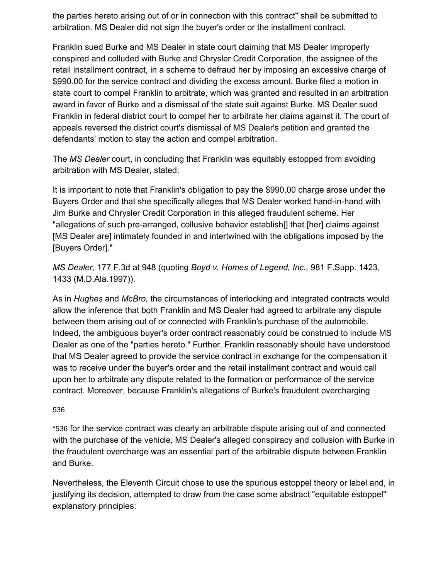the parties hereto arising out of or in connection with this contract" shall be submitted to arbitration. MS Dealer did not sign the buyer's order or the installment contract.

Franklin sued Burke and MS Dealer in state court claiming that MS Dealer improperly conspired and colluded with Burke and Chrysler Credit Corporation, the assignee of the retail installment contract, in a scheme to defraud her by imposing an excessive charge of \$990.00 for the service contract and dividing the excess amount. Burke filed a motion in state court to compel Franklin to arbitrate, which was granted and resulted in an arbitration award in favor of Burke and a dismissal of the state suit against Burke. MS Dealer sued Franklin in federal district court to compel her to arbitrate her claims against it. The court of appeals reversed the district court's dismissal of MS Dealer's petition and granted the defendants' motion to stay the action and compel arbitration.

The *MS Dealer* court, in concluding that Franklin was equitably estopped from avoiding arbitration with MS Dealer, stated:

It is important to note that Franklin's obligation to pay the \$990.00 charge arose under the Buyers Order and that she specifically alleges that MS Dealer worked hand-in-hand with Jim Burke and Chrysler Credit Corporation in this alleged fraudulent scheme. Her "allegations of such pre-arranged, collusive behavior establish[] that [her] claims against [MS Dealer are] intimately founded in and intertwined with the obligations imposed by the [Buyers Order]."

*MS Dealer,* 177 F.3d at 948 (quoting *Boyd v. Homes of Legend, Inc.,* 981 F.Supp. 1423, 1433 (M.D.Ala.1997)).

As in *Hughes* and *McBro,* the circumstances of interlocking and integrated contracts would allow the inference that both Franklin and MS Dealer had agreed to arbitrate any dispute between them arising out of or connected with Franklin's purchase of the automobile. Indeed, the ambiguous buyer's order contract reasonably could be construed to include MS Dealer as one of the "parties hereto." Further, Franklin reasonably should have understood that MS Dealer agreed to provide the service contract in exchange for the compensation it was to receive under the buyer's order and the retail installment contract and would call upon her to arbitrate any dispute related to the formation or performance of the service contract. Moreover, because Franklin's allegations of Burke's fraudulent overcharging

#### 53[6](https://scholar.google.com/scholar_case?case=8858297135417629648&hl=en&as_sdt=6,33#p536)

\*536 for the service contract was clearly an arbitrable dispute arising out of and connected with the purchase of the vehicle, MS Dealer's alleged conspiracy and collusion with Burke in the fraudulent overcharge was an essential part of the arbitrable dispute between Franklin and Burke.

Nevertheless, the Eleventh Circuit chose to use the spurious estoppel theory or label and, in justifying its decision, attempted to draw from the case some abstract "equitable estoppel" explanatory principles: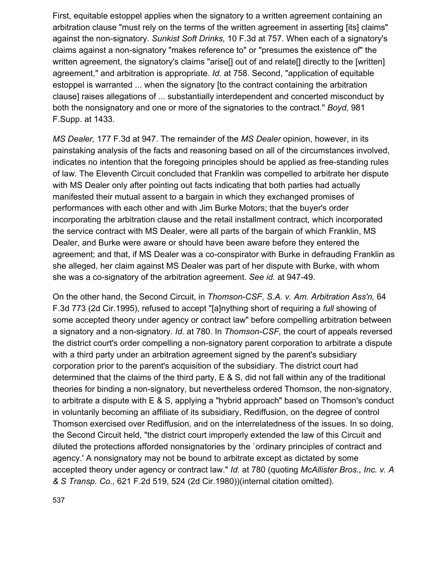First, equitable estoppel applies when the signatory to a written agreement containing an arbitration clause "must rely on the terms of the written agreement in asserting [its] claims" against the non-signatory. *Sunkist Soft Drinks,* 10 F.3d at 757. When each of a signatory's claims against a non-signatory "makes reference to" or "presumes the existence of" the written agreement, the signatory's claims "arise<sup>[]</sup> out of and relate<sup>[]</sup> directly to the [written] agreement," and arbitration is appropriate. *Id.* at 758. Second, "application of equitable estoppel is warranted ... when the signatory [to the contract containing the arbitration clause] raises allegations of ... substantially interdependent and concerted misconduct by both the nonsignatory and one or more of the signatories to the contract." *Boyd,* 981 F.Supp. at 1433.

*MS Dealer,* 177 F.3d at 947. The remainder of the *MS Dealer* opinion, however, in its painstaking analysis of the facts and reasoning based on all of the circumstances involved, indicates no intention that the foregoing principles should be applied as free-standing rules of law. The Eleventh Circuit concluded that Franklin was compelled to arbitrate her dispute with MS Dealer only after pointing out facts indicating that both parties had actually manifested their mutual assent to a bargain in which they exchanged promises of performances with each other and with Jim Burke Motors; that the buyer's order incorporating the arbitration clause and the retail installment contract, which incorporated the service contract with MS Dealer, were all parts of the bargain of which Franklin, MS Dealer, and Burke were aware or should have been aware before they entered the agreement; and that, if MS Dealer was a co-conspirator with Burke in defrauding Franklin as she alleged, her claim against MS Dealer was part of her dispute with Burke, with whom she was a co-signatory of the arbitration agreement. *See id.* at 947-49.

On the other hand, the Second Circuit, in *Thomson-CSF, S.A. v. Am. Arbitration Ass'n,* 64 F.3d 773 (2d Cir.1995), refused to accept "[a]nything short of requiring a *full* showing of some accepted theory under agency or contract law" before compelling arbitration between a signatory and a non-signatory. *Id.* at 780. In *Thomson-CSF,* the court of appeals reversed the district court's order compelling a non-signatory parent corporation to arbitrate a dispute with a third party under an arbitration agreement signed by the parent's subsidiary corporation prior to the parent's acquisition of the subsidiary. The district court had determined that the claims of the third party, E & S, did not fall within any of the traditional theories for binding a non-signatory, but nevertheless ordered Thomson, the non-signatory, to arbitrate a dispute with E & S, applying a "hybrid approach" based on Thomson's conduct in voluntarily becoming an affiliate of its subsidiary, Rediffusion, on the degree of control Thomson exercised over Rediffusion, and on the interrelatedness of the issues. In so doing, the Second Circuit held, "the district court improperly extended the law of this Circuit and diluted the protections afforded nonsignatories by the `ordinary principles of contract and agency.' A nonsignatory may not be bound to arbitrate except as dictated by some accepted theory under agency or contract law." *Id.* at 780 (quoting *McAllister Bros., Inc. v. A & S Transp. Co.,* 621 F.2d 519, 524 (2d Cir.1980))(internal citation omitted).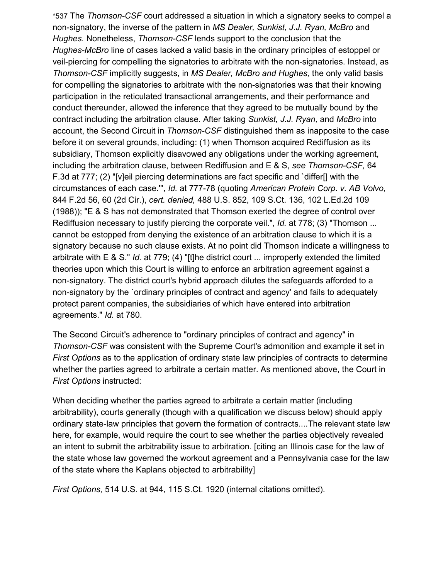\*537 The *Thomson-CSF* court addressed a situation in which a signatory seeks to compel a non-signatory, the inverse of the pattern in *MS Dealer, Sunkist, J.J. Ryan, McBro* and *Hughes.* Nonetheless, *Thomson-CSF* lends support to the conclusion that the *Hughes-McBro* line of cases lacked a valid basis in the ordinary principles of estoppel or veil-piercing for compelling the signatories to arbitrate with the non-signatories. Instead, as *Thomson-CSF* implicitly suggests, in *MS Dealer, McBro and Hughes,* the only valid basis for compelling the signatories to arbitrate with the non-signatories was that their knowing participation in the reticulated transactional arrangements, and their performance and conduct thereunder, allowed the inference that they agreed to be mutually bound by the contract including the arbitration clause. After taking *Sunkist, J.J. Ryan,* and *McBro* into account, the Second Circuit in *Thomson-CSF* distinguished them as inapposite to the case before it on several grounds, including: (1) when Thomson acquired Rediffusion as its subsidiary, Thomson explicitly disavowed any obligations under the working agreement, including the arbitration clause, between Rediffusion and E & S, *see Thomson-CSF,* 64 F.3d at 777; (2) "[v]eil piercing determinations are fact specific and `differ[] with the circumstances of each case.'", *Id.* at 777-78 (quoting *American Protein Corp. v. AB Volvo,* 844 F.2d 56, 60 (2d Cir.), *cert. denied,* 488 U.S. 852, 109 S.Ct. 136, 102 L.Ed.2d 109 (1988)); "E & S has not demonstrated that Thomson exerted the degree of control over Rediffusion necessary to justify piercing the corporate veil.", *Id.* at 778; (3) "Thomson ... cannot be estopped from denying the existence of an arbitration clause to which it is a signatory because no such clause exists. At no point did Thomson indicate a willingness to arbitrate with E & S." *Id.* at 779; (4) "[t]he district court ... improperly extended the limited theories upon which this Court is willing to enforce an arbitration agreement against a non-signatory. The district court's hybrid approach dilutes the safeguards afforded to a non-signatory by the `ordinary principles of contract and agency' and fails to adequately protect parent companies, the subsidiaries of which have entered into arbitration agreements." *Id.* at 780.

The Second Circuit's adherence to "ordinary principles of contract and agency" in *Thomson-CSF* was consistent with the Supreme Court's admonition and example it set in *First Options* as to the application of ordinary state law principles of contracts to determine whether the parties agreed to arbitrate a certain matter. As mentioned above, the Court in *First Options* instructed:

When deciding whether the parties agreed to arbitrate a certain matter (including arbitrability), courts generally (though with a qualification we discuss below) should apply ordinary state-law principles that govern the formation of contracts....The relevant state law here, for example, would require the court to see whether the parties objectively revealed an intent to submit the arbitrability issue to arbitration. [citing an Illinois case for the law of the state whose law governed the workout agreement and a Pennsylvania case for the law of the state where the Kaplans objected to arbitrability]

*First Options,* 514 U.S. at 944, 115 S.Ct. 1920 (internal citations omitted).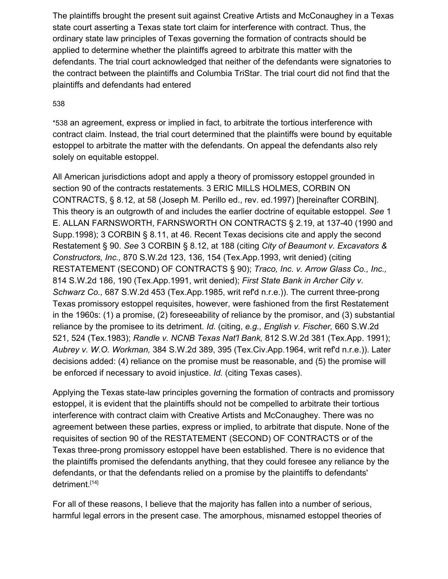The plaintiffs brought the present suit against Creative Artists and McConaughey in a Texas state court asserting a Texas state tort claim for interference with contract. Thus, the ordinary state law principles of Texas governing the formation of contracts should be applied to determine whether the plaintiffs agreed to arbitrate this matter with the defendants. The trial court acknowledged that neither of the defendants were signatories to the contract between the plaintiffs and Columbia TriStar. The trial court did not find that the plaintiffs and defendants had entered

### 53[8](https://scholar.google.com/scholar_case?case=8858297135417629648&hl=en&as_sdt=6,33#p538)

\*538 an agreement, express or implied in fact, to arbitrate the tortious interference with contract claim. Instead, the trial court determined that the plaintiffs were bound by equitable estoppel to arbitrate the matter with the defendants. On appeal the defendants also rely solely on equitable estoppel.

All American jurisdictions adopt and apply a theory of promissory estoppel grounded in section 90 of the contracts restatements. 3 ERIC MILLS HOLMES, CORBIN ON CONTRACTS, § 8.12, at 58 (Joseph M. Perillo ed., rev. ed.1997) [hereinafter CORBIN]. This theory is an outgrowth of and includes the earlier doctrine of equitable estoppel. *See* 1 E. ALLAN FARNSWORTH, FARNSWORTH ON CONTRACTS § 2.19, at 137-40 (1990 and Supp.1998); 3 CORBIN § 8.11, at 46. Recent Texas decisions cite and apply the second Restatement § 90. *See* 3 CORBIN § 8.12, at 188 (citing *City of Beaumont v. Excavators & Constructors, Inc.,* 870 S.W.2d 123, 136, 154 (Tex.App.1993, writ denied) (citing RESTATEMENT (SECOND) OF CONTRACTS § 90); *Traco, Inc. v. Arrow Glass Co., Inc.,* 814 S.W.2d 186, 190 (Tex.App.1991, writ denied); *First State Bank in Archer City v. Schwarz Co.,* 687 S.W.2d 453 (Tex.App.1985, writ ref'd n.r.e.)). The current three-prong Texas promissory estoppel requisites, however, were fashioned from the first Restatement in the 1960s: (1) a promise, (2) foreseeability of reliance by the promisor, and (3) substantial reliance by the promisee to its detriment. *Id.* (citing, *e.g., English v. Fischer,* 660 S.W.2d 521, 524 (Tex.1983); *Randle v. NCNB Texas Nat'l Bank,* 812 S.W.2d 381 (Tex.App. 1991); *Aubrey v. W.O. Workman,* 384 S.W.2d 389, 395 (Tex.Civ.App.1964, writ ref'd n.r.e.)). Later decisions added: (4) reliance on the promise must be reasonable, and (5) the promise will be enforced if necessary to avoid injustice. *Id.* (citing Texas cases).

Applying the Texas state-law principles governing the formation of contracts and promissory estoppel, it is evident that the plaintiffs should not be compelled to arbitrate their tortious interference with contract claim with Creative Artists and McConaughey. There was no agreement between these parties, express or implied, to arbitrate that dispute. None of the requisites of section 90 of the RESTATEMENT (SECOND) OF CONTRACTS or of the Texas three-prong promissory estoppel have been established. There is no evidence that the plaintiffs promised the defendants anything, that they could foresee any reliance by the defendants, or that the defendants relied on a promise by the plaintiffs to defendants' detriment.[14]

For all of these reasons, I believe that the majority has fallen into a number of serious, harmful legal errors in the present case. The amorphous, misnamed estoppel theories of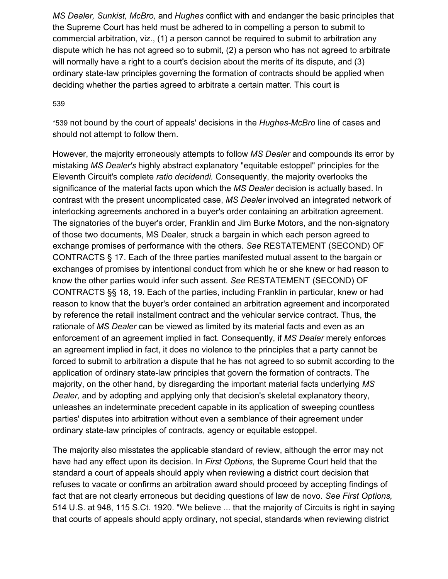*MS Dealer, Sunkist, McBro,* and *Hughes* conflict with and endanger the basic principles that the Supreme Court has held must be adhered to in compelling a person to submit to commercial arbitration, viz., (1) a person cannot be required to submit to arbitration any dispute which he has not agreed so to submit, (2) a person who has not agreed to arbitrate will normally have a right to a court's decision about the merits of its dispute, and (3) ordinary state-law principles governing the formation of contracts should be applied when deciding whether the parties agreed to arbitrate a certain matter. This court is

#### 53[9](https://scholar.google.com/scholar_case?case=8858297135417629648&hl=en&as_sdt=6,33#p539)

\*539 not bound by the court of appeals' decisions in the *Hughes-McBro* line of cases and should not attempt to follow them.

However, the majority erroneously attempts to follow *MS Dealer* and compounds its error by mistaking *MS Dealer's* highly abstract explanatory "equitable estoppel" principles for the Eleventh Circuit's complete *ratio decidendi.* Consequently, the majority overlooks the significance of the material facts upon which the *MS Dealer* decision is actually based. In contrast with the present uncomplicated case, *MS Dealer* involved an integrated network of interlocking agreements anchored in a buyer's order containing an arbitration agreement. The signatories of the buyer's order, Franklin and Jim Burke Motors, and the non-signatory of those two documents, MS Dealer, struck a bargain in which each person agreed to exchange promises of performance with the others. *See* RESTATEMENT (SECOND) OF CONTRACTS § 17. Each of the three parties manifested mutual assent to the bargain or exchanges of promises by intentional conduct from which he or she knew or had reason to know the other parties would infer such assent. *See* RESTATEMENT (SECOND) OF CONTRACTS §§ 18, 19. Each of the parties, including Franklin in particular, knew or had reason to know that the buyer's order contained an arbitration agreement and incorporated by reference the retail installment contract and the vehicular service contract. Thus, the rationale of *MS Dealer* can be viewed as limited by its material facts and even as an enforcement of an agreement implied in fact. Consequently, if *MS Dealer* merely enforces an agreement implied in fact, it does no violence to the principles that a party cannot be forced to submit to arbitration a dispute that he has not agreed to so submit according to the application of ordinary state-law principles that govern the formation of contracts. The majority, on the other hand, by disregarding the important material facts underlying *MS Dealer,* and by adopting and applying only that decision's skeletal explanatory theory, unleashes an indeterminate precedent capable in its application of sweeping countless parties' disputes into arbitration without even a semblance of their agreement under ordinary state-law principles of contracts, agency or equitable estoppel.

The majority also misstates the applicable standard of review, although the error may not have had any effect upon its decision. In *First Options,* the Supreme Court held that the standard a court of appeals should apply when reviewing a district court decision that refuses to vacate or confirms an arbitration award should proceed by accepting findings of fact that are not clearly erroneous but deciding questions of law de novo. *See First Options,* 514 U.S. at 948, 115 S.Ct. 1920. "We believe ... that the majority of Circuits is right in saying that courts of appeals should apply ordinary, not special, standards when reviewing district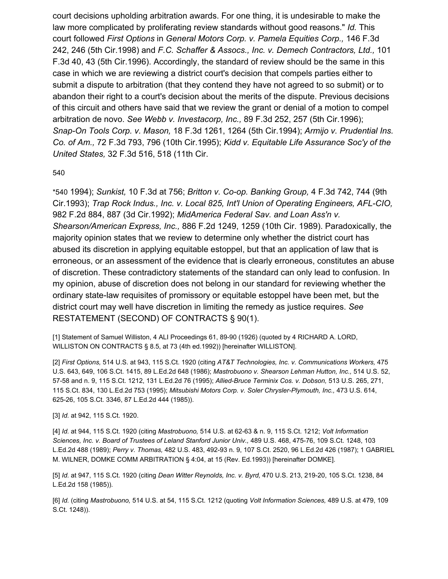court decisions upholding arbitration awards. For one thing, it is undesirable to make the law more complicated by proliferating review standards without good reasons." *Id.* This court followed *First Options* in *General Motors Corp. v. Pamela Equities Corp.,* 146 F.3d 242, 246 (5th Cir.1998) and *F.C. Schaffer & Assocs., Inc. v. Demech Contractors, Ltd.,* 101 F.3d 40, 43 (5th Cir.1996). Accordingly, the standard of review should be the same in this case in which we are reviewing a district court's decision that compels parties either to submit a dispute to arbitration (that they contend they have not agreed to so submit) or to abandon their right to a court's decision about the merits of the dispute. Previous decisions of this circuit and others have said that we review the grant or denial of a motion to compel arbitration de novo. *See Webb v. Investacorp, Inc.,* 89 F.3d 252, 257 (5th Cir.1996); *Snap-On Tools Corp. v. Mason,* 18 F.3d 1261, 1264 (5th Cir.1994); *Armijo v. Prudential Ins. Co. of Am.,* 72 F.3d 793, 796 (10th Cir.1995); *Kidd v. Equitable Life Assurance Soc'y of the United States,* 32 F.3d 516, 518 (11th Cir.

#### 54[0](https://scholar.google.com/scholar_case?case=8858297135417629648&hl=en&as_sdt=6,33#p540)

\*540 1994); *Sunkist,* 10 F.3d at 756; *Britton v. Co-op. Banking Group,* 4 F.3d 742, 744 (9th Cir.1993); *Trap Rock Indus., Inc. v. Local 825, Int'l Union of Operating Engineers, AFL-CIO,* 982 F.2d 884, 887 (3d Cir.1992); *MidAmerica Federal Sav. and Loan Ass'n v. Shearson/American Express, Inc.,* 886 F.2d 1249, 1259 (10th Cir. 1989). Paradoxically, the majority opinion states that we review to determine only whether the district court has abused its discretion in applying equitable estoppel, but that an application of law that is erroneous, or an assessment of the evidence that is clearly erroneous, constitutes an abuse of discretion. These contradictory statements of the standard can only lead to confusion. In my opinion, abuse of discretion does not belong in our standard for reviewing whether the ordinary state-law requisites of promissory or equitable estoppel have been met, but the district court may well have discretion in limiting the remedy as justice requires. *See* RESTATEMENT (SECOND) OF CONTRACTS § 90(1).

[1] Statement of Samuel Williston, 4 ALI Proceedings 61, 89-90 (1926) (quoted by 4 RICHARD A. LORD, WILLISTON ON CONTRACTS § 8.5, at 73 (4th ed.1992)) [hereinafter WILLISTON].

[2] *First Options,* 514 U.S. at 943, 115 S.Ct. 1920 (citing *AT&T Technologies, Inc. v. Communications Workers,* 475 U.S. 643, 649, 106 S.Ct. 1415, 89 L.Ed.2d 648 (1986); *Mastrobuono v. Shearson Lehman Hutton, Inc.,* 514 U.S. 52, 57-58 and n. 9, 115 S.Ct. 1212, 131 L.Ed.2d 76 (1995); *Allied-Bruce Terminix Cos. v. Dobson,* 513 U.S. 265, 271, 115 S.Ct. 834, 130 L.Ed.2d 753 (1995); *Mitsubishi Motors Corp. v. Soler Chrysler-Plymouth, Inc.,* 473 U.S. 614, 625-26, 105 S.Ct. 3346, 87 L.Ed.2d 444 (1985)).

#### [3] *Id.* at 942, 115 S.Ct. 1920.

[4] *Id.* at 944, 115 S.Ct. 1920 (citing *Mastrobuono,* 514 U.S. at 62-63 & n. 9, 115 S.Ct. 1212; *Volt Information Sciences, Inc. v. Board of Trustees of Leland Stanford Junior Univ.,* 489 U.S. 468, 475-76, 109 S.Ct. 1248, 103 L.Ed.2d 488 (1989); *Perry v. Thomas,* 482 U.S. 483, 492-93 n. 9, 107 S.Ct. 2520, 96 L.Ed.2d 426 (1987); 1 GABRIEL M. WILNER, DOMKE COMM ARBITRATION § 4:04, at 15 (Rev. Ed.1993)) [hereinafter DOMKE].

[5] *Id.* at 947, 115 S.Ct. 1920 (citing *Dean Witter Reynolds, Inc. v. Byrd,* 470 U.S. 213, 219-20, 105 S.Ct. 1238, 84 L.Ed.2d 158 (1985)).

[6] *Id.* (citing *Mastrobuono,* 514 U.S. at 54, 115 S.Ct. 1212 (quoting *Volt Information Sciences,* 489 U.S. at 479, 109 S.Ct. 1248)).